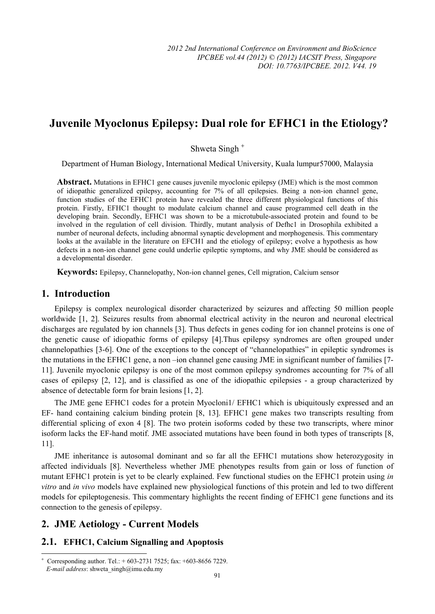# **Juvenile Myoclonus Epilepsy: Dual role for EFHC1 in the Etiology?**

Shweta Singh <sup>+</sup>

Department of Human Biology, International Medical University, Kuala lumpur57000, Malaysia

**Abstract.** Mutations in EFHC1 gene causes juvenile myoclonic epilepsy (JME) which is the most common of idiopathic generalized epilepsy, accounting for 7% of all epilepsies. Being a non-ion channel gene, function studies of the EFHC1 protein have revealed the three different physiological functions of this protein. Firstly, EFHC1 thought to modulate calcium channel and cause programmed cell death in the developing brain. Secondly, EFHC1 was shown to be a microtubule-associated protein and found to be involved in the regulation of cell division. Thirdly, mutant analysis of Defhc1 in Drosophila exhibited a number of neuronal defects, including abnormal synaptic development and morphogenesis. This commentary looks at the available in the literature on EFCH1 and the etiology of epilepsy; evolve a hypothesis as how defects in a non-ion channel gene could underlie epileptic symptoms, and why JME should be considered as a developmental disorder.

**Keywords:** Epilepsy, Channelopathy, Non-ion channel genes, Cell migration, Calcium sensor

### **1. Introduction**

Epilepsy is complex neurological disorder characterized by seizures and affecting 50 million people worldwide [1, 2]. Seizures results from abnormal electrical activity in the neuron and neuronal electrical discharges are regulated by ion channels [3]. Thus defects in genes coding for ion channel proteins is one of the genetic cause of idiopathic forms of epilepsy [4].Thus epilepsy syndromes are often grouped under channelopathies [3-6]. One of the exceptions to the concept of "channelopathies" in epileptic syndromes is the mutations in the EFHC1 gene, a non –ion channel gene causing JME in significant number of families [7- 11]. Juvenile myoclonic epilepsy is one of the most common epilepsy syndromes accounting for 7% of all cases of epilepsy [2, 12], and is classified as one of the idiopathic epilepsies - a group characterized by absence of detectable form for brain lesions [1, 2].

The JME gene EFHC1 codes for a protein Myocloni1/ EFHC1 which is ubiquitously expressed and an EF- hand containing calcium binding protein [8, 13]. EFHC1 gene makes two transcripts resulting from differential splicing of exon 4 [8]. The two protein isoforms coded by these two transcripts, where minor isoform lacks the EF-hand motif. JME associated mutations have been found in both types of transcripts [8, 11].

JME inheritance is autosomal dominant and so far all the EFHC1 mutations show heterozygosity in affected individuals [8]. Nevertheless whether JME phenotypes results from gain or loss of function of mutant EFHC1 protein is yet to be clearly explained. Few functional studies on the EFHC1 protein using *in vitro* and *in vivo* models have explained new physiological functions of this protein and led to two different models for epileptogenesis. This commentary highlights the recent finding of EFHC1 gene functions and its connection to the genesis of epilepsy.

# **2. JME Aetiology - Current Models**

 $\overline{a}$ 

# **2.1. EFHC1, Calcium Signalling and Apoptosis**

<sup>+</sup> Corresponding author. Tel.: + 603-2731 7525; fax: +603-8656 7229. *E-mail address*: shweta\_singh@imu.edu.my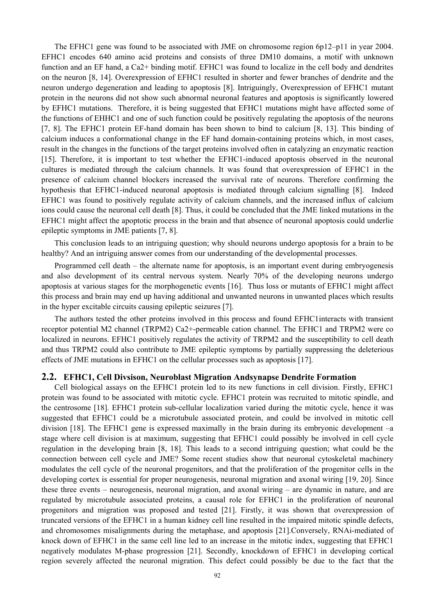The EFHC1 gene was found to be associated with JME on chromosome region 6p12–p11 in year 2004. EFHC1 encodes 640 amino acid proteins and consists of three DM10 domains, a motif with unknown function and an EF hand, a Ca2+ binding motif. EFHC1 was found to localize in the cell body and dendrites on the neuron [8, 14]. Overexpression of EFHC1 resulted in shorter and fewer branches of dendrite and the neuron undergo degeneration and leading to apoptosis [8]. Intriguingly, Overexpression of EFHC1 mutant protein in the neurons did not show such abnormal neuronal features and apoptosis is significantly lowered by EFHC1 mutations. Therefore, it is being suggested that EFHC1 mutations might have affected some of the functions of EHHC1 and one of such function could be positively regulating the apoptosis of the neurons [7, 8]. The EFHC1 protein EF-hand domain has been shown to bind to calcium [8, 13]. This binding of calcium induces a conformational change in the EF hand domain-containing proteins which, in most cases, result in the changes in the functions of the target proteins involved often in catalyzing an enzymatic reaction [15]. Therefore, it is important to test whether the EFHC1-induced apoptosis observed in the neuronal cultures is mediated through the calcium channels. It was found that overexpression of EFHC1 in the presence of calcium channel blockers increased the survival rate of neurons. Therefore confirming the hypothesis that EFHC1-induced neuronal apoptosis is mediated through calcium signalling [8]. Indeed EFHC1 was found to positively regulate activity of calcium channels, and the increased influx of calcium ions could cause the neuronal cell death [8]. Thus, it could be concluded that the JME linked mutations in the EFHC1 might affect the apoptotic process in the brain and that absence of neuronal apoptosis could underlie epileptic symptoms in JME patients [7, 8].

This conclusion leads to an intriguing question; why should neurons undergo apoptosis for a brain to be healthy? And an intriguing answer comes from our understanding of the developmental processes.

Programmed cell death – the alternate name for apoptosis, is an important event during embryogenesis and also development of its central nervous system. Nearly 70% of the developing neurons undergo apoptosis at various stages for the morphogenetic events [16]. Thus loss or mutants of EFHC1 might affect this process and brain may end up having additional and unwanted neurons in unwanted places which results in the hyper excitable circuits causing epileptic seizures [7].

The authors tested the other proteins involved in this process and found EFHC1interacts with transient receptor potential M2 channel (TRPM2) Ca2+-permeable cation channel. The EFHC1 and TRPM2 were co localized in neurons. EFHC1 positively regulates the activity of TRPM2 and the susceptibility to cell death and thus TRPM2 could also contribute to JME epileptic symptoms by partially suppressing the deleterious effects of JME mutations in EFHC1 on the cellular processes such as apoptosis [17].

#### **2.2. EFHC1, Cell Divsison, Neuroblast Migration Andsynapse Dendrite Formation**

Cell biological assays on the EFHC1 protein led to its new functions in cell division. Firstly, EFHC1 protein was found to be associated with mitotic cycle. EFHC1 protein was recruited to mitotic spindle, and the centrosome [18]. EFHC1 protein sub-cellular localization varied during the mitotic cycle, hence it was suggested that EFHC1 could be a microtubule associated protein, and could be involved in mitotic cell division [18]. The EFHC1 gene is expressed maximally in the brain during its embryonic development –a stage where cell division is at maximum, suggesting that EFHC1 could possibly be involved in cell cycle regulation in the developing brain [8, 18]. This leads to a second intriguing question; what could be the connection between cell cycle and JME? Some recent studies show that neuronal cytoskeletal machinery modulates the cell cycle of the neuronal progenitors, and that the proliferation of the progenitor cells in the developing cortex is essential for proper neurogenesis, neuronal migration and axonal wiring [19, 20]. Since these three events – neurogenesis, neuronal migration, and axonal wiring – are dynamic in nature, and are regulated by microtubule associated proteins, a causal role for EFHC1 in the proliferation of neuronal progenitors and migration was proposed and tested [21]. Firstly, it was shown that overexpression of truncated versions of the EFHC1 in a human kidney cell line resulted in the impaired mitotic spindle defects, and chromosomes misalignments during the metaphase, and apoptosis [21].Conversely, RNAi-mediated of knock down of EFHC1 in the same cell line led to an increase in the mitotic index, suggesting that EFHC1 negatively modulates M-phase progression [21]. Secondly, knockdown of EFHC1 in developing cortical region severely affected the neuronal migration. This defect could possibly be due to the fact that the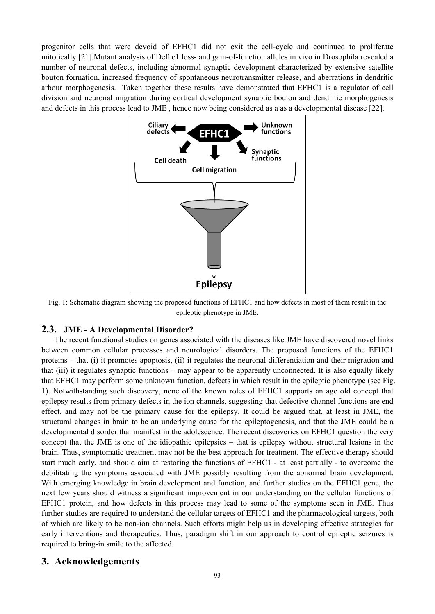progenitor cells that were devoid of EFHC1 did not exit the cell-cycle and continued to proliferate mitotically [21].Mutant analysis of Defhc1 loss- and gain-of-function alleles in vivo in Drosophila revealed a number of neuronal defects, including abnormal synaptic development characterized by extensive satellite bouton formation, increased frequency of spontaneous neurotransmitter release, and aberrations in dendritic arbour morphogenesis. Taken together these results have demonstrated that EFHC1 is a regulator of cell division and neuronal migration during cortical development synaptic bouton and dendritic morphogenesis and defects in this process lead to JME , hence now being considered as a as a developmental disease [22].



Fig. 1: Schematic diagram showing the proposed functions of EFHC1 and how defects in most of them result in the epileptic phenotype in JME.

# **2.3. JME - A Developmental Disorder?**

The recent functional studies on genes associated with the diseases like JME have discovered novel links between common cellular processes and neurological disorders. The proposed functions of the EFHC1 proteins – that (i) it promotes apoptosis, (ii) it regulates the neuronal differentiation and their migration and that (iii) it regulates synaptic functions – may appear to be apparently unconnected. It is also equally likely that EFHC1 may perform some unknown function, defects in which result in the epileptic phenotype (see Fig. 1). Notwithstanding such discovery, none of the known roles of EFHC1 supports an age old concept that epilepsy results from primary defects in the ion channels, suggesting that defective channel functions are end effect, and may not be the primary cause for the epilepsy. It could be argued that, at least in JME, the structural changes in brain to be an underlying cause for the epileptogenesis, and that the JME could be a developmental disorder that manifest in the adolescence. The recent discoveries on EFHC1 question the very concept that the JME is one of the idiopathic epilepsies – that is epilepsy without structural lesions in the brain. Thus, symptomatic treatment may not be the best approach for treatment. The effective therapy should start much early, and should aim at restoring the functions of EFHC1 - at least partially - to overcome the debilitating the symptoms associated with JME possibly resulting from the abnormal brain development. With emerging knowledge in brain development and function, and further studies on the EFHC1 gene, the next few years should witness a significant improvement in our understanding on the cellular functions of EFHC1 protein, and how defects in this process may lead to some of the symptoms seen in JME. Thus further studies are required to understand the cellular targets of EFHC1 and the pharmacological targets, both of which are likely to be non-ion channels. Such efforts might help us in developing effective strategies for early interventions and therapeutics. Thus, paradigm shift in our approach to control epileptic seizures is required to bring-in smile to the affected.

# **3. Acknowledgements**